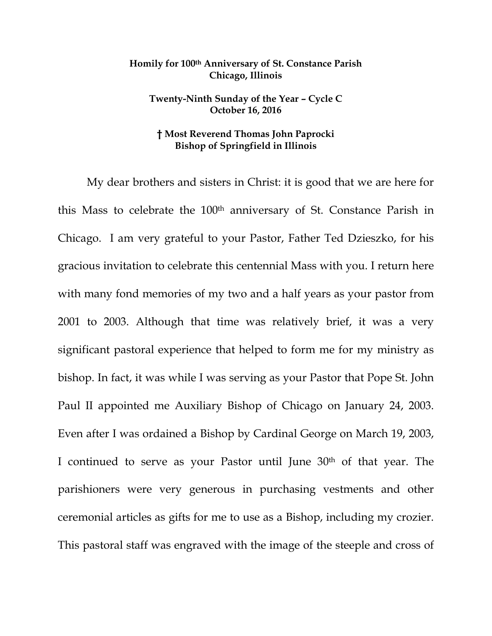## **Homily for 100th Anniversary of St. Constance Parish Chicago, Illinois**

## **Twenty-Ninth Sunday of the Year – Cycle C October 16, 2016**

## **† Most Reverend Thomas John Paprocki Bishop of Springfield in Illinois**

My dear brothers and sisters in Christ: it is good that we are here for this Mass to celebrate the 100th anniversary of St. Constance Parish in Chicago. I am very grateful to your Pastor, Father Ted Dzieszko, for his gracious invitation to celebrate this centennial Mass with you. I return here with many fond memories of my two and a half years as your pastor from 2001 to 2003. Although that time was relatively brief, it was a very significant pastoral experience that helped to form me for my ministry as bishop. In fact, it was while I was serving as your Pastor that Pope St. John Paul II appointed me Auxiliary Bishop of Chicago on January 24, 2003. Even after I was ordained a Bishop by Cardinal George on March 19, 2003, I continued to serve as your Pastor until June 30th of that year. The parishioners were very generous in purchasing vestments and other ceremonial articles as gifts for me to use as a Bishop, including my crozier. This pastoral staff was engraved with the image of the steeple and cross of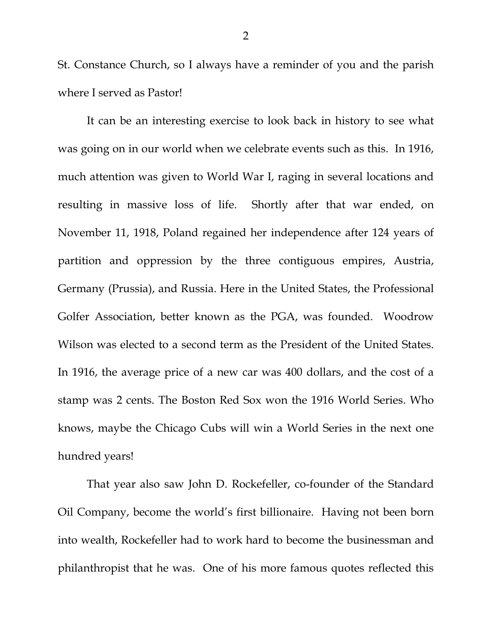St. Constance Church, so I always have a reminder of you and the parish where I served as Pastor!

It can be an interesting exercise to look back in history to see what was going on in our world when we celebrate events such as this. In 1916, much attention was given to World War I, raging in several locations and resulting in massive loss of life. Shortly after that war ended, on November 11, 1918, Poland regained her independence after 124 years of partition and oppression by the three contiguous empires, Austria, Germany (Prussia), and Russia. Here in the United States, the Professional Golfer Association, better known as the PGA, was founded. Woodrow Wilson was elected to a second term as the President of the United States. In 1916, the average price of a new car was 400 dollars, and the cost of a stamp was 2 cents. The Boston Red Sox won the 1916 World Series. Who knows, maybe the Chicago Cubs will win a World Series in the next one hundred years!

That year also saw John D. Rockefeller, co-founder of the Standard Oil Company, become the world's first billionaire. Having not been born into wealth, Rockefeller had to work hard to become the businessman and philanthropist that he was. One of his more famous quotes reflected this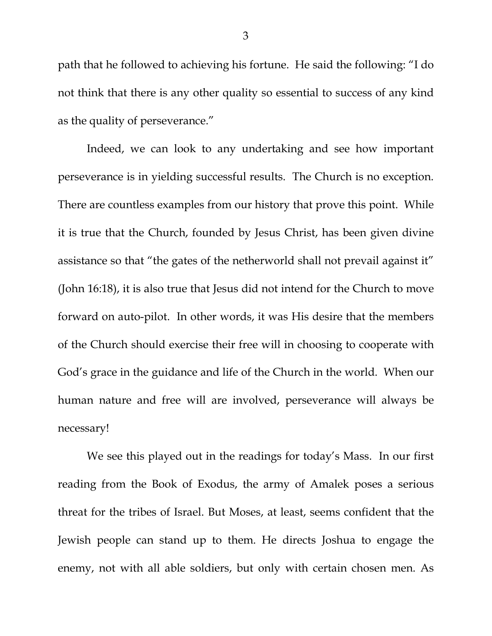path that he followed to achieving his fortune. He said the following: "I do not think that there is any other quality so essential to success of any kind as the quality of perseverance."

Indeed, we can look to any undertaking and see how important perseverance is in yielding successful results. The Church is no exception. There are countless examples from our history that prove this point. While it is true that the Church, founded by Jesus Christ, has been given divine assistance so that "the gates of the netherworld shall not prevail against it" (John 16:18), it is also true that Jesus did not intend for the Church to move forward on auto-pilot. In other words, it was His desire that the members of the Church should exercise their free will in choosing to cooperate with God's grace in the guidance and life of the Church in the world. When our human nature and free will are involved, perseverance will always be necessary!

We see this played out in the readings for today's Mass. In our first reading from the Book of Exodus, the army of Amalek poses a serious threat for the tribes of Israel. But Moses, at least, seems confident that the Jewish people can stand up to them. He directs Joshua to engage the enemy, not with all able soldiers, but only with certain chosen men. As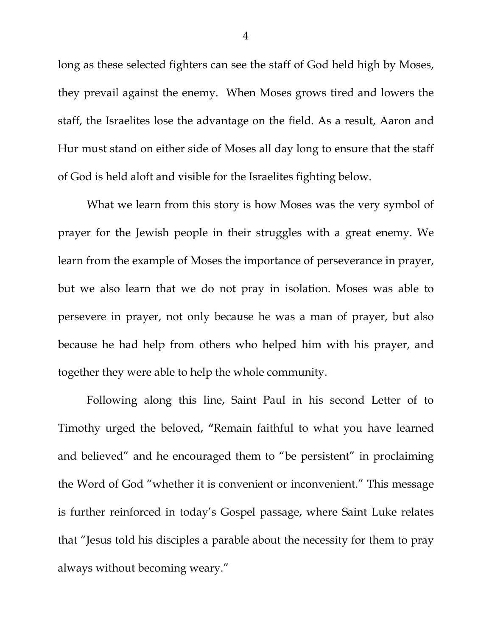long as these selected fighters can see the staff of God held high by Moses, they prevail against the enemy. When Moses grows tired and lowers the staff, the Israelites lose the advantage on the field. As a result, Aaron and Hur must stand on either side of Moses all day long to ensure that the staff of God is held aloft and visible for the Israelites fighting below.

What we learn from this story is how Moses was the very symbol of prayer for the Jewish people in their struggles with a great enemy. We learn from the example of Moses the importance of perseverance in prayer, but we also learn that we do not pray in isolation. Moses was able to persevere in prayer, not only because he was a man of prayer, but also because he had help from others who helped him with his prayer, and together they were able to help the whole community.

Following along this line, Saint Paul in his second Letter of to Timothy urged the beloved, **"**Remain faithful to what you have learned and believed" and he encouraged them to "be persistent" in proclaiming the Word of God "whether it is convenient or inconvenient." This message is further reinforced in today's Gospel passage, where Saint Luke relates that "Jesus told his disciples a parable about the necessity for them to pray always without becoming weary."

4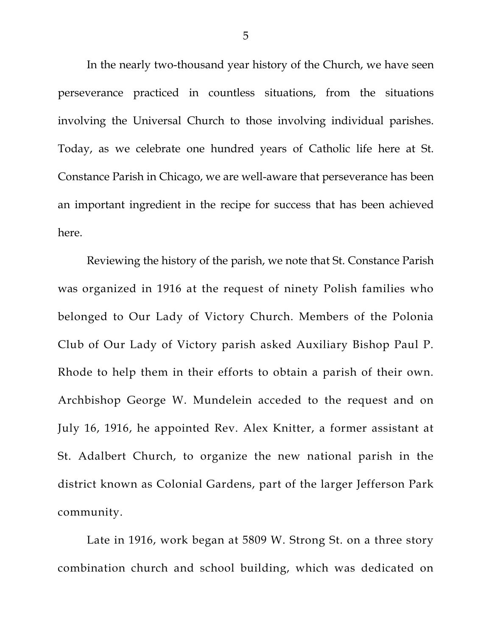In the nearly two-thousand year history of the Church, we have seen perseverance practiced in countless situations, from the situations involving the Universal Church to those involving individual parishes. Today, as we celebrate one hundred years of Catholic life here at St. Constance Parish in Chicago, we are well-aware that perseverance has been an important ingredient in the recipe for success that has been achieved here.

Reviewing the history of the parish, we note that St. Constance Parish was organized in 1916 at the request of ninety Polish families who belonged to Our Lady of Victory Church. Members of the Polonia Club of Our Lady of Victory parish asked Auxiliary Bishop Paul P. Rhode to help them in their efforts to obtain a parish of their own. Archbishop George W. Mundelein acceded to the request and on July 16, 1916, he appointed Rev. Alex Knitter, a former assistant at St. Adalbert Church, to organize the new national parish in the district known as Colonial Gardens, part of the larger Jefferson Park community.

Late in 1916, work began at 5809 W. Strong St. on a three story combination church and school building, which was dedicated on

5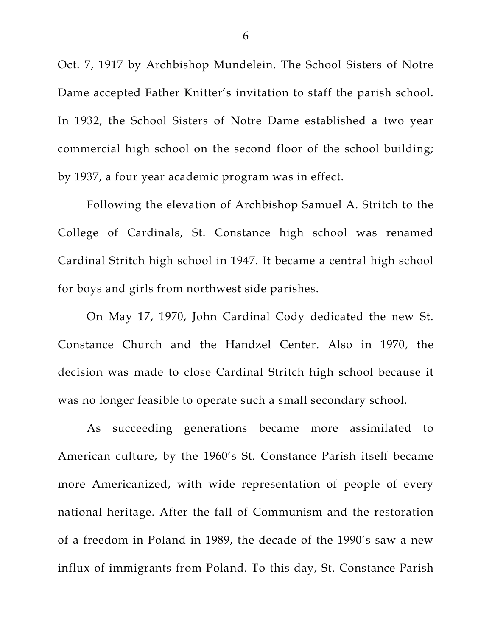Oct. 7, 1917 by Archbishop Mundelein. The School Sisters of Notre Dame accepted Father Knitter's invitation to staff the parish school. In 1932, the School Sisters of Notre Dame established a two year commercial high school on the second floor of the school building; by 1937, a four year academic program was in effect.

Following the elevation of Archbishop Samuel A. Stritch to the College of Cardinals, St. Constance high school was renamed Cardinal Stritch high school in 1947. It became a central high school for boys and girls from northwest side parishes.

On May 17, 1970, John Cardinal Cody dedicated the new St. Constance Church and the Handzel Center. Also in 1970, the decision was made to close Cardinal Stritch high school because it was no longer feasible to operate such a small secondary school.

As succeeding generations became more assimilated to American culture, by the 1960's St. Constance Parish itself became more Americanized, with wide representation of people of every national heritage. After the fall of Communism and the restoration of a freedom in Poland in 1989, the decade of the 1990's saw a new influx of immigrants from Poland. To this day, St. Constance Parish

6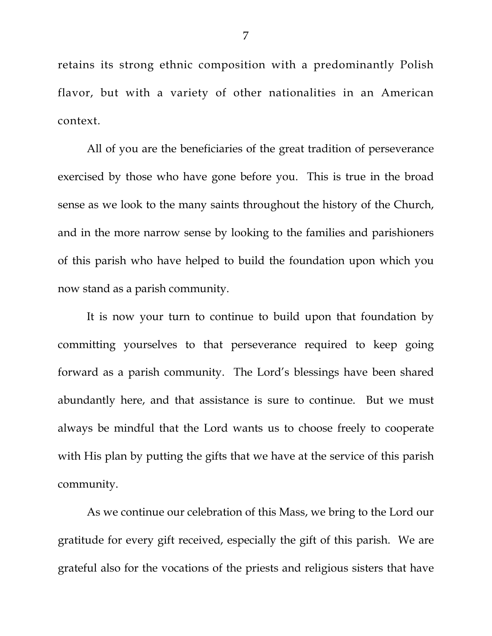retains its strong ethnic composition with a predominantly Polish flavor, but with a variety of other nationalities in an American context.

All of you are the beneficiaries of the great tradition of perseverance exercised by those who have gone before you. This is true in the broad sense as we look to the many saints throughout the history of the Church, and in the more narrow sense by looking to the families and parishioners of this parish who have helped to build the foundation upon which you now stand as a parish community.

It is now your turn to continue to build upon that foundation by committing yourselves to that perseverance required to keep going forward as a parish community. The Lord's blessings have been shared abundantly here, and that assistance is sure to continue. But we must always be mindful that the Lord wants us to choose freely to cooperate with His plan by putting the gifts that we have at the service of this parish community.

As we continue our celebration of this Mass, we bring to the Lord our gratitude for every gift received, especially the gift of this parish. We are grateful also for the vocations of the priests and religious sisters that have